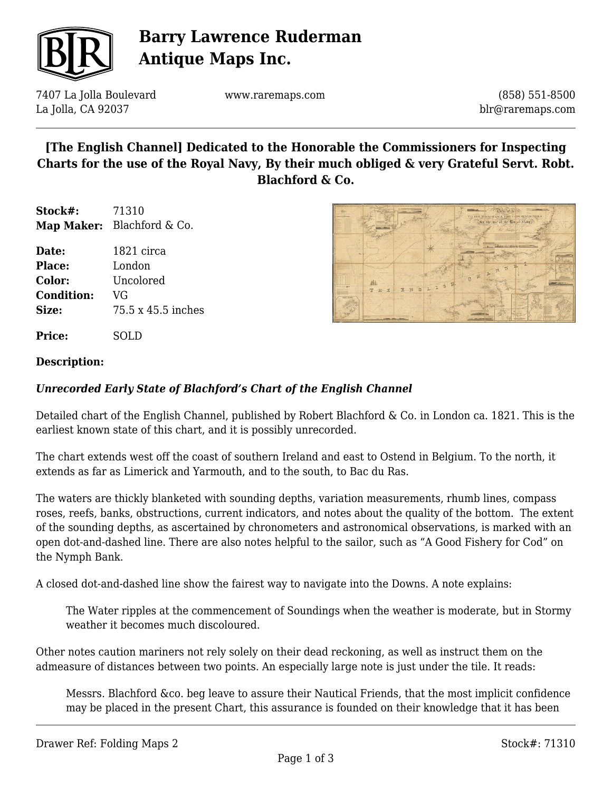

# **Barry Lawrence Ruderman Antique Maps Inc.**

7407 La Jolla Boulevard La Jolla, CA 92037

www.raremaps.com

(858) 551-8500 blr@raremaps.com

## **[The English Channel] Dedicated to the Honorable the Commissioners for Inspecting Charts for the use of the Royal Navy, By their much obliged & very Grateful Servt. Robt. Blachford & Co.**

**Stock#:** 71310 **Map Maker:** Blachford & Co.

**Date:** 1821 circa **Place:** London **Color:** Uncolored **Condition:** VG **Size:** 75.5 x 45.5 inches

**Price:** SOLD



### **Description:**

### *Unrecorded Early State of Blachford's Chart of the English Channel*

Detailed chart of the English Channel, published by Robert Blachford & Co. in London ca. 1821. This is the earliest known state of this chart, and it is possibly unrecorded.

The chart extends west off the coast of southern Ireland and east to Ostend in Belgium. To the north, it extends as far as Limerick and Yarmouth, and to the south, to Bac du Ras.

The waters are thickly blanketed with sounding depths, variation measurements, rhumb lines, compass roses, reefs, banks, obstructions, current indicators, and notes about the quality of the bottom. The extent of the sounding depths, as ascertained by chronometers and astronomical observations, is marked with an open dot-and-dashed line. There are also notes helpful to the sailor, such as "A Good Fishery for Cod" on the Nymph Bank.

A closed dot-and-dashed line show the fairest way to navigate into the Downs. A note explains:

The Water ripples at the commencement of Soundings when the weather is moderate, but in Stormy weather it becomes much discoloured.

Other notes caution mariners not rely solely on their dead reckoning, as well as instruct them on the admeasure of distances between two points. An especially large note is just under the tile. It reads:

Messrs. Blachford &co. beg leave to assure their Nautical Friends, that the most implicit confidence may be placed in the present Chart, this assurance is founded on their knowledge that it has been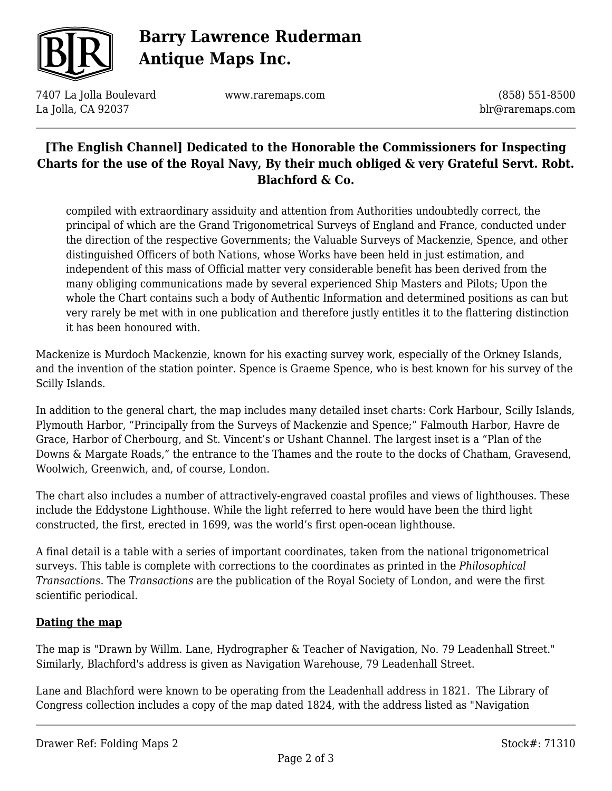

# **Barry Lawrence Ruderman Antique Maps Inc.**

7407 La Jolla Boulevard La Jolla, CA 92037

www.raremaps.com

(858) 551-8500 blr@raremaps.com

## **[The English Channel] Dedicated to the Honorable the Commissioners for Inspecting Charts for the use of the Royal Navy, By their much obliged & very Grateful Servt. Robt. Blachford & Co.**

compiled with extraordinary assiduity and attention from Authorities undoubtedly correct, the principal of which are the Grand Trigonometrical Surveys of England and France, conducted under the direction of the respective Governments; the Valuable Surveys of Mackenzie, Spence, and other distinguished Officers of both Nations, whose Works have been held in just estimation, and independent of this mass of Official matter very considerable benefit has been derived from the many obliging communications made by several experienced Ship Masters and Pilots; Upon the whole the Chart contains such a body of Authentic Information and determined positions as can but very rarely be met with in one publication and therefore justly entitles it to the flattering distinction it has been honoured with.

Mackenize is Murdoch Mackenzie, known for his exacting survey work, especially of the Orkney Islands, and the invention of the station pointer. Spence is Graeme Spence, who is best known for his survey of the Scilly Islands.

In addition to the general chart, the map includes many detailed inset charts: Cork Harbour, Scilly Islands, Plymouth Harbor, "Principally from the Surveys of Mackenzie and Spence;" Falmouth Harbor, Havre de Grace, Harbor of Cherbourg, and St. Vincent's or Ushant Channel. The largest inset is a "Plan of the Downs & Margate Roads," the entrance to the Thames and the route to the docks of Chatham, Gravesend, Woolwich, Greenwich, and, of course, London.

The chart also includes a number of attractively-engraved coastal profiles and views of lighthouses. These include the Eddystone Lighthouse. While the light referred to here would have been the third light constructed, the first, erected in 1699, was the world's first open-ocean lighthouse.

A final detail is a table with a series of important coordinates, taken from the national trigonometrical surveys. This table is complete with corrections to the coordinates as printed in the *Philosophical Transactions*. The *Transactions* are the publication of the Royal Society of London, and were the first scientific periodical.

### **Dating the map**

The map is "Drawn by Willm. Lane, Hydrographer & Teacher of Navigation, No. 79 Leadenhall Street." Similarly, Blachford's address is given as Navigation Warehouse, 79 Leadenhall Street.

Lane and Blachford were known to be operating from the Leadenhall address in 1821. The Library of Congress collection includes a copy of the map dated 1824, with the address listed as "Navigation